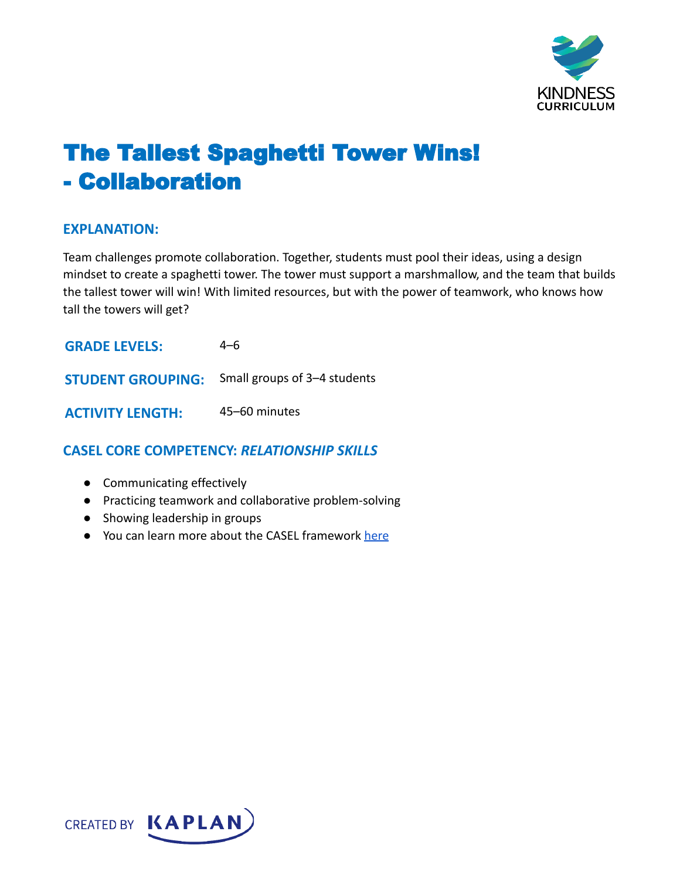

# The Tallest Spaghetti Tower Wins! - Collaboration

#### **EXPLANATION:**

Team challenges promote collaboration. Together, students must pool their ideas, using a design mindset to create a spaghetti tower. The tower must support a marshmallow, and the team that builds the tallest tower will win! With limited resources, but with the power of teamwork, who knows how tall the towers will get?

| <b>GRADE LEVELS:</b>    | 4–6                                                   |
|-------------------------|-------------------------------------------------------|
|                         | <b>STUDENT GROUPING:</b> Small groups of 3-4 students |
| <b>ACTIVITY LENGTH:</b> | 45–60 minutes                                         |

# **CASEL CORE COMPETENCY:** *RELATIONSHIP SKILLS*

- Communicating effectively
- Practicing teamwork and collaborative problem-solving
- Showing leadership in groups
- You can learn more about the CASEL framework [here](https://casel.org/sel-framework/)

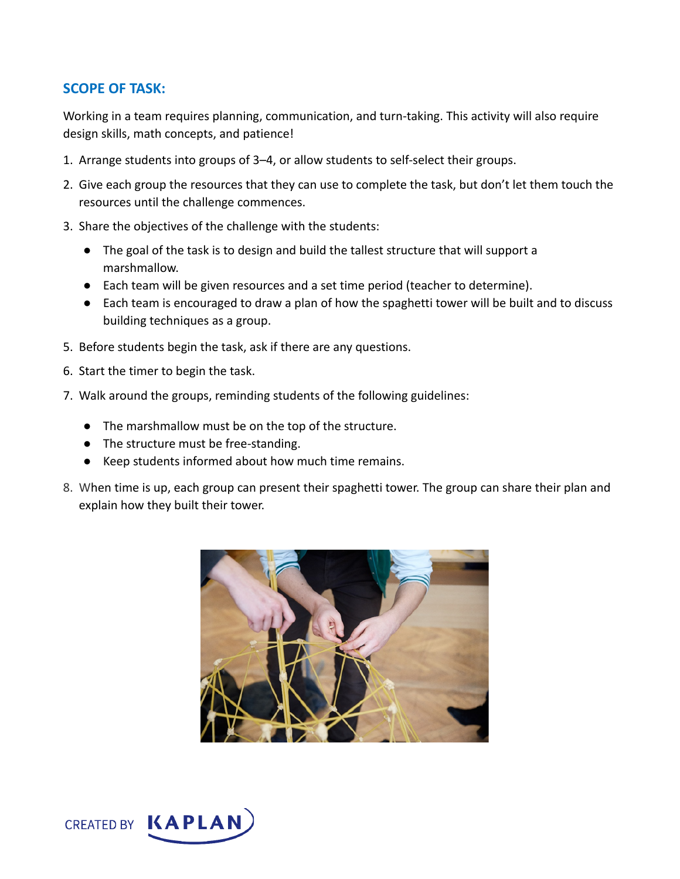## **SCOPE OF TASK:**

Working in a team requires planning, communication, and turn-taking. This activity will also require design skills, math concepts, and patience!

- 1. Arrange students into groups of 3–4, or allow students to self-select their groups.
- 2. Give each group the resources that they can use to complete the task, but don't let them touch the resources until the challenge commences.
- 3. Share the objectives of the challenge with the students:
	- The goal of the task is to design and build the tallest structure that will support a marshmallow.
	- Each team will be given resources and a set time period (teacher to determine).
	- Each team is encouraged to draw a plan of how the spaghetti tower will be built and to discuss building techniques as a group.
- 5. Before students begin the task, ask if there are any questions.
- 6. Start the timer to begin the task.
- 7. Walk around the groups, reminding students of the following guidelines:
	- The marshmallow must be on the top of the structure.
	- The structure must be free-standing.
	- Keep students informed about how much time remains.
- 8. When time is up, each group can present their spaghetti tower. The group can share their plan and explain how they built their tower.